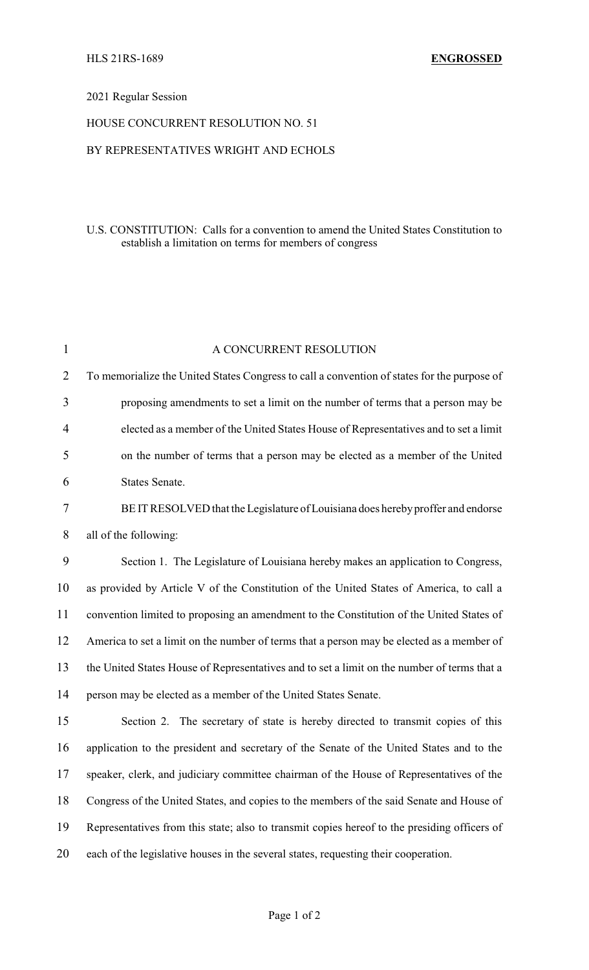## 2021 Regular Session

### HOUSE CONCURRENT RESOLUTION NO. 51

### BY REPRESENTATIVES WRIGHT AND ECHOLS

## U.S. CONSTITUTION: Calls for a convention to amend the United States Constitution to establish a limitation on terms for members of congress

| $\mathbf{1}$   | A CONCURRENT RESOLUTION                                                                      |
|----------------|----------------------------------------------------------------------------------------------|
| $\overline{2}$ | To memorialize the United States Congress to call a convention of states for the purpose of  |
| 3              | proposing amendments to set a limit on the number of terms that a person may be              |
| 4              | elected as a member of the United States House of Representatives and to set a limit         |
| 5              | on the number of terms that a person may be elected as a member of the United                |
| 6              | States Senate.                                                                               |
| 7              | BE IT RESOLVED that the Legislature of Louisiana does hereby proffer and endorse             |
| 8              | all of the following:                                                                        |
| 9              | Section 1. The Legislature of Louisiana hereby makes an application to Congress,             |
| 10             | as provided by Article V of the Constitution of the United States of America, to call a      |
| 11             | convention limited to proposing an amendment to the Constitution of the United States of     |
| 12             | America to set a limit on the number of terms that a person may be elected as a member of    |
| 13             | the United States House of Representatives and to set a limit on the number of terms that a  |
| 14             | person may be elected as a member of the United States Senate.                               |
| 15             | Section 2. The secretary of state is hereby directed to transmit copies of this              |
| 16             | application to the president and secretary of the Senate of the United States and to the     |
| 17             | speaker, clerk, and judiciary committee chairman of the House of Representatives of the      |
| 18             | Congress of the United States, and copies to the members of the said Senate and House of     |
| 19             | Representatives from this state; also to transmit copies hereof to the presiding officers of |
| 20             | each of the legislative houses in the several states, requesting their cooperation.          |
|                |                                                                                              |